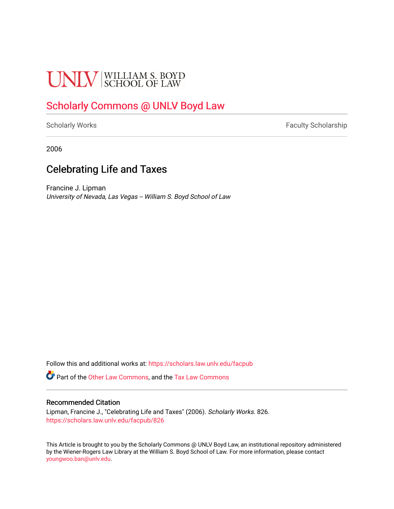# **UNLV** SCHOOL OF LAW

# [Scholarly Commons @ UNLV Boyd Law](https://scholars.law.unlv.edu/)

[Scholarly Works](https://scholars.law.unlv.edu/facpub) **Faculty Scholarship** Faculty Scholarship

2006

## Celebrating Life and Taxes

Francine J. Lipman University of Nevada, Las Vegas -- William S. Boyd School of Law

Follow this and additional works at: [https://scholars.law.unlv.edu/facpub](https://scholars.law.unlv.edu/facpub?utm_source=scholars.law.unlv.edu%2Ffacpub%2F826&utm_medium=PDF&utm_campaign=PDFCoverPages)

Part of the [Other Law Commons,](http://network.bepress.com/hgg/discipline/621?utm_source=scholars.law.unlv.edu%2Ffacpub%2F826&utm_medium=PDF&utm_campaign=PDFCoverPages) and the [Tax Law Commons](http://network.bepress.com/hgg/discipline/898?utm_source=scholars.law.unlv.edu%2Ffacpub%2F826&utm_medium=PDF&utm_campaign=PDFCoverPages)

#### Recommended Citation

Lipman, Francine J., "Celebrating Life and Taxes" (2006). Scholarly Works. 826. [https://scholars.law.unlv.edu/facpub/826](https://scholars.law.unlv.edu/facpub/826?utm_source=scholars.law.unlv.edu%2Ffacpub%2F826&utm_medium=PDF&utm_campaign=PDFCoverPages)

This Article is brought to you by the Scholarly Commons @ UNLV Boyd Law, an institutional repository administered by the Wiener-Rogers Law Library at the William S. Boyd School of Law. For more information, please contact [youngwoo.ban@unlv.edu.](mailto:youngwoo.ban@unlv.edu)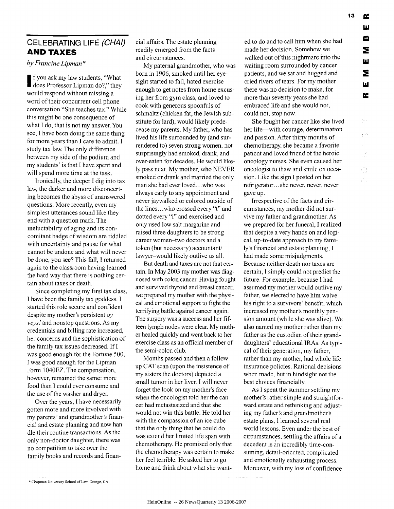### **CELEBRATING LIFE (CHAI) AND TAXES**

*by Francine Lipman \**

f you ask my law students, "What does Professor Lipman do?," they would respond without missing a word of their concurrent cell phone conversation "She teaches tax." While this might be one consequence of what I do, that is not my answer. You see, I have been doing the same thing for more years than I care to admit. I study tax law. The only difference between my side of the podium and my students' is that I have spent and will spend more time at the task.

Ironically, the deeper I dig into tax law, the darker and more disconcerting becomes the abyss of unanswered questions. More recently, even my simplest utterances sound like they end with a question mark. The ineluctability of aging and its concomitant badge of wisdom are riddled with uncertainty and pause for what cannot be undone and what will never be done, you see? This fall, I returned again to the classroom having learned the hard way that there is nothing certain about taxes or death.

Since completing my first tax class, I have been the family tax goddess. I started this role secure and confident despite my mother's persistent oy *veys!* and nonstop questions. As my credentials and billing rate increased, her concerns and the sophistication of the family tax issues decreased. If **I** was good enough for the Fortune 500, I was good enough for the Lipman Form 1040EZ. The compensation, however, remained the same: more food than I could ever consume and the use of the washer and dryer.

Over the years, I have necessarily gotten more and more involved with my parents' and grandmother's financial and estate planning and now handle their routine transactions. As the only non-doctor daughter, there was no competition to take over the family books and records and financial affairs. The estate planning readily emerged from the facts and circumstances.

My paternal grandmother, who was born in 1906, smoked until her eyesight started to fail, hated exercise enough to get notes from home excusing her from gym class, and loved to cook with generous spoonfuls of schmaltz (chicken fat, the Jewish substitute for lard), would likely predecease my parents. My father, who has lived his life surrounded by (and surrendered to) seven strong women, not surprisingly had smoked, drank, and over-eaten for decades. He would likely pass next. My mother, who NEVER smoked or drank and married the only man she had ever loved... who was always early to any appointment and never jaywalked or colored outside of the lines.. .who crossed every **"t"** and dotted every "i" and exercised and only used low salt margarine and raised three daughters to be strong career women-two doctors and a token (but necessary) accountant/ lawyer-would likely outlive us all.

But death and taxes are not that certain. In May 2003 my mother was diagnosed with colon cancer. Having fought and survived thyroid and breast cancer, we prepared my mother with the physical and emotional support to fight the terrifying battle against cancer again. The surgery was a success and her fifteen lymph nodes were clear, My mother healed quickly and went back to her exercise class as an official member of the semi-colon club.

Months passed and then a followup CAT scan (upon the insistence of my sisters the doctors) depicted a small tumor in her liver. I will never forget the look on my mother's face when the oncologist told her the cancer had metastasized and that she would not win this battle. He told her with the compassion of an ice cube that the only thing that he could do was extend her limited life span with chemotherapy. He promised only that the chemotherapy was certain to make her feel terrible. He asked her to go home and think about what she wanted to do and to call him when she had made her decision. Somehow we walked out of this nightmare into the waiting room surrounded by cancer patients, and we sat and hugged and cried rivers of tears. For my mother there was no decision to make, for more than seventy years she had embraced life and she would not, could not, stop now.

She fought her cancer like she lived her life—with courage, determination and passion. After thirty months of chemotherapy, she became a favorite patient and loved friend of the heroic oncology nurses. She even caused her oncologist to thaw and smile on occasion. Like the sign I posted on her refrigerator **...** she never, never, never gave up.

Irrespective of the facts and circumstances, my mother did not survive my father and grandmother. As we prepared for her funeral, I realized that despite a very hands on and logical, up-to-date approach to my family's financial and estate planning, I had made some misjudgments. Because neither death nor taxes are certain, I simply could not predict the future. For example, because I had assumed my mother would outlive my father, we elected to have him waive his right to a survivors' benefit, which increased my mother's monthly pension amount (while she was alive). We also named my mother rather than my father as the custodian of their granddaughters' educational IRAs. As typical of their generation, my father, rather than my mother, had whole life insurance policies. Rational decisions when made, but in hindsight not the best choices financially.

As I spent the summer settling my mother's rather simple and straightforward estate and rethinking and adjusting my father's and grandmother's estate plans, I learned several real world lessons. Even under the best of circumstances, settling the affairs of a decedent is an incredibly time-consuming, detail-oriented, complicated and emotionally exhausting process. Moreover, with my loss of confidence

ш

**<sup>\*</sup>** Chapman Univcrsity School ofLaw, **Orange, CA.**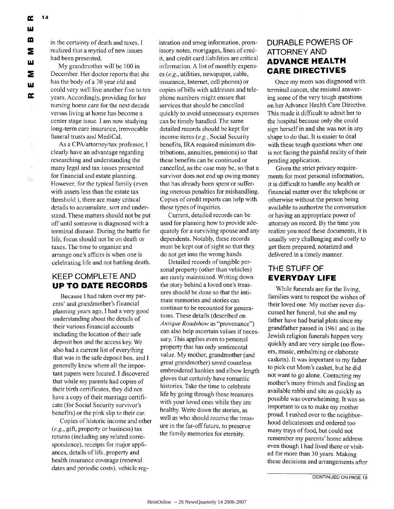$\zeta_{\rm in}$ 

in the certainty of death and taxes, I realized that a myriad of new issues had been presented.

My grandmother will be 100 in December. Her doctor reports that she has the body of a 70 year old and could very well live another five to ten years. Accordingly, providing for her nursing home care for the next decade versus living at home has become a center stage issue. I am now studying long-term care insurance, irrevocable funeral trusts and MediCal.

As a CPA/attorney/tax professor, I clearly have an advantage regarding researching and understanding the many legal and tax issues presented for financial and estate planning. However, for the typical family (even with assets less than the estate tax threshold ), there are many critical details to accumulate, sort and understand. These matters should not be put off until someone is diagnosed with a terminal disease. During the battle for life, focus should not be on death or taxes. The time to organize and arrange one's affairs is when one is celebrating life and not battling death.

#### **KEEP COMPLETE AND UP TO DATE RECORDS**

Because I had taken over my parents' and grandmother's financial planning years ago, **I** had a very good understanding about the details of their various financial accounts including the location of their safe deposit box and the access key. We also had a current list of everything that was in the safe deposit box, and **I** generally knew where all the important papers were located. I discovered that while my parents had copies of their birth certificates, they did not have a copy of their marriage certificate (for Social Security survivor's benefits) or the pink slip to their car.

Copies of historic income and other *(e.g.,* gift, property or business) tax returns (including any related correspondence), receipts for major appliances, details of life, property and health insurance coverage (renewal dates and periodic costs), vehicle registration and smog information, promissory notes, mortgages, lines of credit, and credit card liabilities are critical information. A list of monthly expenses *(e.g.,* utilities, newspaper, cable, insurance, Internet, cell phones) or copies of bills with addresses and telephone numbers might ensure that services that should be cancelled quickly to avoid unnecessary expenses can be timely handled. The same detailed records should be kept for income items *(e.g.,* Social Security benefits, IRA required minimum distributions, annuities, pensions) so that these benefits can be continued or cancelled, as the case may be, so that a survivor does not end up owing money that has already been spent or suffering onerous penalties for mishandling. Copies of credit reports can help with these types of inquiries.

Current, detailed records can be used for planning how to provide adequately for a surviving spouse and any dependents. Notably, these records must be kept out of sight so that they do not get into the wrong hands.

Detailed records of tangible personal property (other than vehicles) are rarely maintained. Writing down the story behind a loved one's treasures should be done so that the intimate memories and stories can continue to be recounted for generations. These details (described on *Antique Roadshow* as "provenance") can also help ascertain values if necessary. This applies even to personal property that has only sentimental value. My mother, grandmother (and great grandmother) saved countless embroidered hankies and elbow length gloves that certainly have romantic histories. Take the time to celebrate life by going through these treasures with your loved ones while they are healthy. Write down the stories, as well as who should receive the treasure in the far-off future, to preserve the family memories for eternity.

#### **DURABLE POWERS OF ATTORNEY AND ADVANCE HEALTH CARE DIRECTIVES**

Once my mom was diagnosed with terminal cancer, she resisted answering some of the very tough questions on her Advance Health Care Directive. This made it difficult to admit her to the hospital because only she could sign herself in and she was not in any shape to do that. It is easier to deal with these tough questions when one is not facing the painful reality of their pending application.

Given the strict privacy requirements for most personal information, it is difficult to handle any health or financial matter over the telephone or otherwise without the person being available to authorize the conversation or having an appropriate power of attorney on record. By the time you realize you need these documents, it is usually very challenging and costly to get them prepared, notarized and delivered in a timely manner.

### **THE STUFF OF EVERYDAY LIFE**

While funerals are for the living, families want to respect the wishes of their loved one. My mother never discussed her funeral, but she and my father have had burial plots since my grandfather passed in 1961 and in the Jewish religion funerals happen very quickly and are very simple (no flowers, music, embalming or elaborate caskets). It was important to my father to pick out Mom's casket, but he did not want to go alone. Contacting my mother's many friends and finding an available rabbi and site as quickly as possible was overwhelming. It was so important to us to make my mother proud. I rushed over to the neighborhood delicatessen and ordered too many trays of food, but could not remember my parents' home address even though I had lived there or visited for more than 30 years. Making these decisions and arrangements after

**CONTINUED ON PAGE 19**